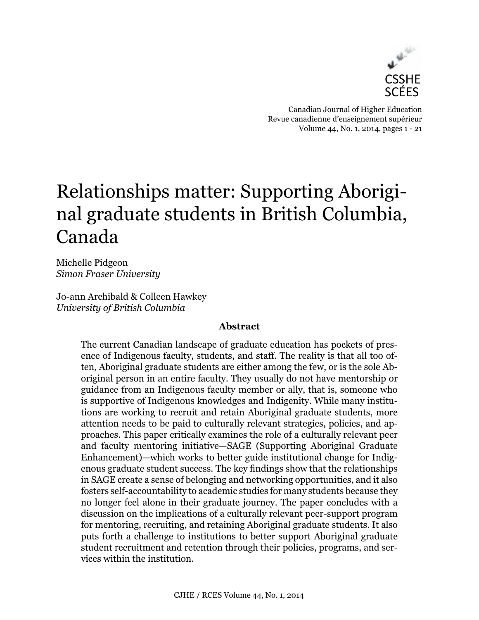

Canadian Journal of Higher Education Revue canadienne d'enseignement supérieur Volume 44, No. 1, 2014, pages 1 - 21

# Relationships matter: Supporting Aboriginal graduate students in British Columbia, Canada

Michelle Pidgeon *Simon Fraser University*

Jo-ann Archibald & Colleen Hawkey *University of British Columbia*

## **Abstract**

The current Canadian landscape of graduate education has pockets of presence of Indigenous faculty, students, and staff. The reality is that all too often, Aboriginal graduate students are either among the few, or is the sole Aboriginal person in an entire faculty. They usually do not have mentorship or guidance from an Indigenous faculty member or ally, that is, someone who is supportive of Indigenous knowledges and Indigenity. While many institutions are working to recruit and retain Aboriginal graduate students, more attention needs to be paid to culturally relevant strategies, policies, and approaches. This paper critically examines the role of a culturally relevant peer and faculty mentoring initiative—SAGE (Supporting Aboriginal Graduate Enhancement)—which works to better guide institutional change for Indigenous graduate student success. The key findings show that the relationships in SAGE create a sense of belonging and networking opportunities, and it also fosters self-accountability to academic studies for many students because they no longer feel alone in their graduate journey. The paper concludes with a discussion on the implications of a culturally relevant peer-support program for mentoring, recruiting, and retaining Aboriginal graduate students. It also puts forth a challenge to institutions to better support Aboriginal graduate student recruitment and retention through their policies, programs, and services within the institution.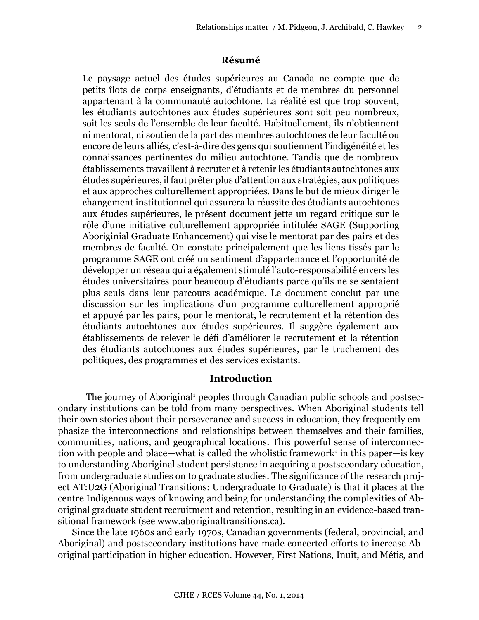#### **Résumé**

Le paysage actuel des études supérieures au Canada ne compte que de petits îlots de corps enseignants, d'étudiants et de membres du personnel appartenant à la communauté autochtone. La réalité est que trop souvent, les étudiants autochtones aux études supérieures sont soit peu nombreux, soit les seuls de l'ensemble de leur faculté. Habituellement, ils n'obtiennent ni mentorat, ni soutien de la part des membres autochtones de leur faculté ou encore de leurs alliés, c'est-à-dire des gens qui soutiennent l'indigénéité et les connaissances pertinentes du milieu autochtone. Tandis que de nombreux établissements travaillent à recruter et à retenir les étudiants autochtones aux études supérieures, il faut prêter plus d'attention aux stratégies, aux politiques et aux approches culturellement appropriées. Dans le but de mieux diriger le changement institutionnel qui assurera la réussite des étudiants autochtones aux études supérieures, le présent document jette un regard critique sur le rôle d'une initiative culturellement appropriée intitulée SAGE (Supporting Aboriginial Graduate Enhancement) qui vise le mentorat par des pairs et des membres de faculté. On constate principalement que les liens tissés par le programme SAGE ont créé un sentiment d'appartenance et l'opportunité de développer un réseau qui a également stimulé l'auto-responsabilité envers les études universitaires pour beaucoup d'étudiants parce qu'ils ne se sentaient plus seuls dans leur parcours académique. Le document conclut par une discussion sur les implications d'un programme culturellement approprié et appuyé par les pairs, pour le mentorat, le recrutement et la rétention des étudiants autochtones aux études supérieures. Il suggère également aux établissements de relever le défi d'améliorer le recrutement et la rétention des étudiants autochtones aux études supérieures, par le truchement des politiques, des programmes et des services existants.

#### **Introduction**

The journey of Aboriginal<sup>1</sup> peoples through Canadian public schools and postsecondary institutions can be told from many perspectives. When Aboriginal students tell their own stories about their perseverance and success in education, they frequently emphasize the interconnections and relationships between themselves and their families, communities, nations, and geographical locations. This powerful sense of interconnection with people and place—what is called the wholistic framework<sup>2</sup> in this paper—is key to understanding Aboriginal student persistence in acquiring a postsecondary education, from undergraduate studies on to graduate studies. The significance of the research project AT:U2G (Aboriginal Transitions: Undergraduate to Graduate) is that it places at the centre Indigenous ways of knowing and being for understanding the complexities of Aboriginal graduate student recruitment and retention, resulting in an evidence-based transitional framework (see www.aboriginaltransitions.ca).

Since the late 1960s and early 1970s, Canadian governments (federal, provincial, and Aboriginal) and postsecondary institutions have made concerted efforts to increase Aboriginal participation in higher education. However, First Nations, Inuit, and Métis, and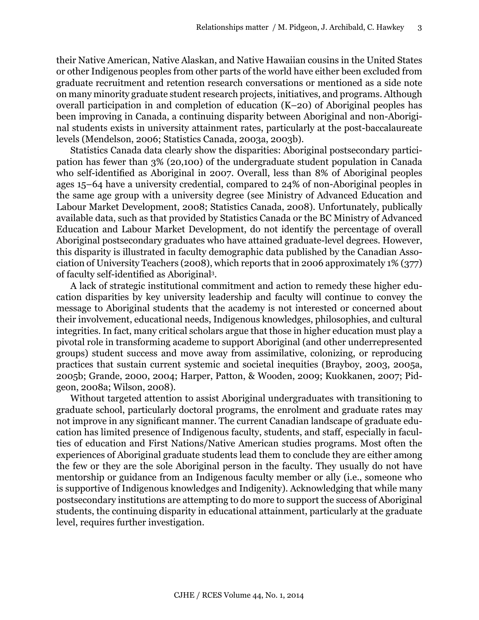their Native American, Native Alaskan, and Native Hawaiian cousins in the United States or other Indigenous peoples from other parts of the world have either been excluded from graduate recruitment and retention research conversations or mentioned as a side note on many minority graduate student research projects, initiatives, and programs. Although overall participation in and completion of education (K–20) of Aboriginal peoples has been improving in Canada, a continuing disparity between Aboriginal and non-Aboriginal students exists in university attainment rates, particularly at the post-baccalaureate levels (Mendelson, 2006; Statistics Canada, 2003a, 2003b).

Statistics Canada data clearly show the disparities: Aboriginal postsecondary participation has fewer than 3% (20,100) of the undergraduate student population in Canada who self-identified as Aboriginal in 2007. Overall, less than 8% of Aboriginal peoples ages 15–64 have a university credential, compared to 24% of non-Aboriginal peoples in the same age group with a university degree (see Ministry of Advanced Education and Labour Market Development, 2008; Statistics Canada, 2008). Unfortunately, publically available data, such as that provided by Statistics Canada or the BC Ministry of Advanced Education and Labour Market Development, do not identify the percentage of overall Aboriginal postsecondary graduates who have attained graduate-level degrees. However, this disparity is illustrated in faculty demographic data published by the Canadian Association of University Teachers (2008), which reports that in 2006 approximately 1% (377) of faculty self-identified as Aboriginal<sup>3</sup> .

A lack of strategic institutional commitment and action to remedy these higher education disparities by key university leadership and faculty will continue to convey the message to Aboriginal students that the academy is not interested or concerned about their involvement, educational needs, Indigenous knowledges, philosophies, and cultural integrities. In fact, many critical scholars argue that those in higher education must play a pivotal role in transforming academe to support Aboriginal (and other underrepresented groups) student success and move away from assimilative, colonizing, or reproducing practices that sustain current systemic and societal inequities (Brayboy, 2003, 2005a, 2005b; Grande, 2000, 2004; Harper, Patton, & Wooden, 2009; Kuokkanen, 2007; Pidgeon, 2008a; Wilson, 2008).

Without targeted attention to assist Aboriginal undergraduates with transitioning to graduate school, particularly doctoral programs, the enrolment and graduate rates may not improve in any significant manner. The current Canadian landscape of graduate education has limited presence of Indigenous faculty, students, and staff, especially in faculties of education and First Nations/Native American studies programs. Most often the experiences of Aboriginal graduate students lead them to conclude they are either among the few or they are the sole Aboriginal person in the faculty. They usually do not have mentorship or guidance from an Indigenous faculty member or ally (i.e., someone who is supportive of Indigenous knowledges and Indigenity). Acknowledging that while many postsecondary institutions are attempting to do more to support the success of Aboriginal students, the continuing disparity in educational attainment, particularly at the graduate level, requires further investigation.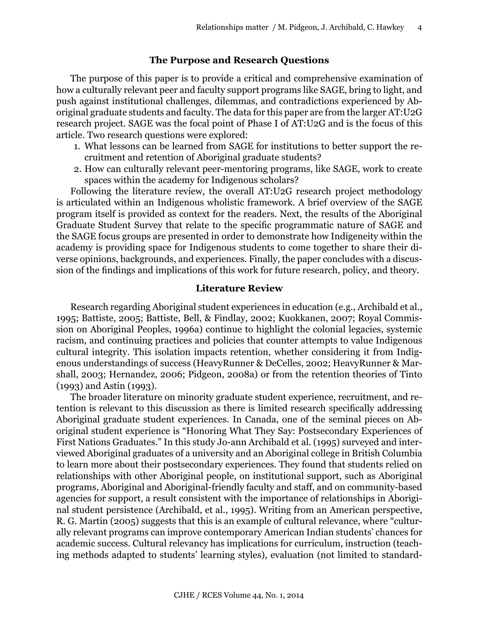## **The Purpose and Research Questions**

The purpose of this paper is to provide a critical and comprehensive examination of how a culturally relevant peer and faculty support programs like SAGE, bring to light, and push against institutional challenges, dilemmas, and contradictions experienced by Aboriginal graduate students and faculty. The data for this paper are from the larger AT:U2G research project. SAGE was the focal point of Phase I of AT:U2G and is the focus of this article. Two research questions were explored:

- 1. What lessons can be learned from SAGE for institutions to better support the recruitment and retention of Aboriginal graduate students?
- 2. How can culturally relevant peer-mentoring programs, like SAGE, work to create spaces within the academy for Indigenous scholars?

Following the literature review, the overall AT:U2G research project methodology is articulated within an Indigenous wholistic framework. A brief overview of the SAGE program itself is provided as context for the readers. Next, the results of the Aboriginal Graduate Student Survey that relate to the specific programmatic nature of SAGE and the SAGE focus groups are presented in order to demonstrate how Indigeneity within the academy is providing space for Indigenous students to come together to share their diverse opinions, backgrounds, and experiences. Finally, the paper concludes with a discussion of the findings and implications of this work for future research, policy, and theory.

#### **Literature Review**

Research regarding Aboriginal student experiences in education (e.g., Archibald et al., 1995; Battiste, 2005; Battiste, Bell, & Findlay, 2002; Kuokkanen, 2007; Royal Commission on Aboriginal Peoples, 1996a) continue to highlight the colonial legacies, systemic racism, and continuing practices and policies that counter attempts to value Indigenous cultural integrity. This isolation impacts retention, whether considering it from Indigenous understandings of success (HeavyRunner & DeCelles, 2002; HeavyRunner & Marshall, 2003; Hernandez, 2006; Pidgeon, 2008a) or from the retention theories of Tinto (1993) and Astin (1993).

The broader literature on minority graduate student experience, recruitment, and retention is relevant to this discussion as there is limited research specifically addressing Aboriginal graduate student experiences. In Canada, one of the seminal pieces on Aboriginal student experience is "Honoring What They Say: Postsecondary Experiences of First Nations Graduates." In this study Jo-ann Archibald et al. (1995) surveyed and interviewed Aboriginal graduates of a university and an Aboriginal college in British Columbia to learn more about their postsecondary experiences. They found that students relied on relationships with other Aboriginal people, on institutional support, such as Aboriginal programs, Aboriginal and Aboriginal-friendly faculty and staff, and on community-based agencies for support, a result consistent with the importance of relationships in Aboriginal student persistence (Archibald, et al., 1995). Writing from an American perspective, R. G. Martin (2005) suggests that this is an example of cultural relevance, where "culturally relevant programs can improve contemporary American Indian students' chances for academic success. Cultural relevancy has implications for curriculum, instruction (teaching methods adapted to students' learning styles), evaluation (not limited to standard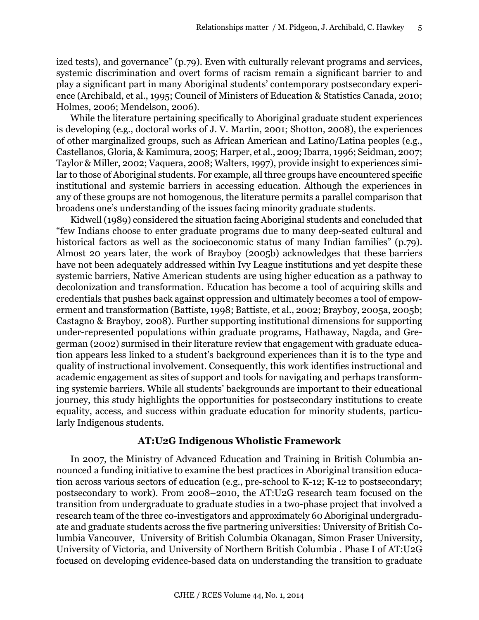ized tests), and governance" (p.79). Even with culturally relevant programs and services, systemic discrimination and overt forms of racism remain a significant barrier to and play a significant part in many Aboriginal students' contemporary postsecondary experience (Archibald, et al., 1995; Council of Ministers of Education & Statistics Canada, 2010; Holmes, 2006; Mendelson, 2006).

While the literature pertaining specifically to Aboriginal graduate student experiences is developing (e.g., doctoral works of J. V. Martin, 2001; Shotton, 2008), the experiences of other marginalized groups, such as African American and Latino/Latina peoples (e.g., Castellanos, Gloria, & Kamimura, 2005; Harper, et al., 2009; Ibarra, 1996; Seidman, 2007; Taylor & Miller, 2002; Vaquera, 2008; Walters, 1997), provide insight to experiences similar to those of Aboriginal students. For example, all three groups have encountered specific institutional and systemic barriers in accessing education. Although the experiences in any of these groups are not homogenous, the literature permits a parallel comparison that broadens one's understanding of the issues facing minority graduate students.

Kidwell (1989) considered the situation facing Aboriginal students and concluded that "few Indians choose to enter graduate programs due to many deep-seated cultural and historical factors as well as the socioeconomic status of many Indian families" (p.79). Almost 20 years later, the work of Brayboy (2005b) acknowledges that these barriers have not been adequately addressed within Ivy League institutions and yet despite these systemic barriers, Native American students are using higher education as a pathway to decolonization and transformation. Education has become a tool of acquiring skills and credentials that pushes back against oppression and ultimately becomes a tool of empowerment and transformation (Battiste, 1998; Battiste, et al., 2002; Brayboy, 2005a, 2005b; Castagno & Brayboy, 2008). Further supporting institutional dimensions for supporting under-represented populations within graduate programs, Hathaway, Nagda, and Gregerman (2002) surmised in their literature review that engagement with graduate education appears less linked to a student's background experiences than it is to the type and quality of instructional involvement. Consequently, this work identifies instructional and academic engagement as sites of support and tools for navigating and perhaps transforming systemic barriers. While all students' backgrounds are important to their educational journey, this study highlights the opportunities for postsecondary institutions to create equality, access, and success within graduate education for minority students, particularly Indigenous students.

#### **AT:U2G Indigenous Wholistic Framework**

In 2007, the Ministry of Advanced Education and Training in British Columbia announced a funding initiative to examine the best practices in Aboriginal transition education across various sectors of education (e.g., pre-school to K-12; K-12 to postsecondary; postsecondary to work). From 2008–2010, the AT:U2G research team focused on the transition from undergraduate to graduate studies in a two-phase project that involved a research team of the three co-investigators and approximately 60 Aboriginal undergraduate and graduate students across the five partnering universities: University of British Columbia Vancouver, University of British Columbia Okanagan, Simon Fraser University, University of Victoria, and University of Northern British Columbia . Phase I of AT:U2G focused on developing evidence-based data on understanding the transition to graduate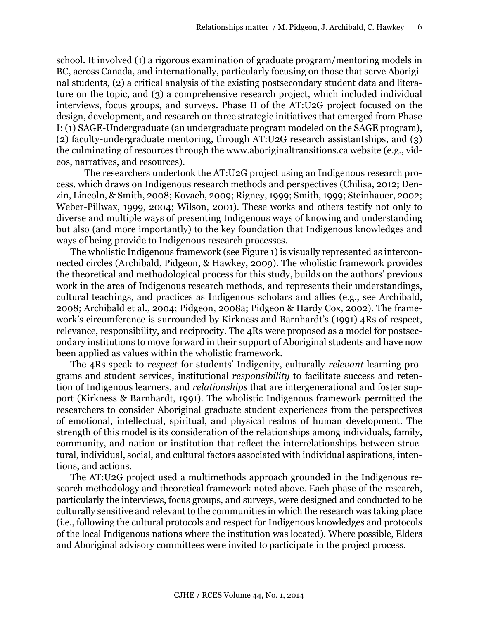school. It involved (1) a rigorous examination of graduate program/mentoring models in BC, across Canada, and internationally, particularly focusing on those that serve Aboriginal students, (2) a critical analysis of the existing postsecondary student data and literature on the topic, and (3) a comprehensive research project, which included individual interviews, focus groups, and surveys. Phase II of the AT:U2G project focused on the design, development, and research on three strategic initiatives that emerged from Phase I: (1) SAGE-Undergraduate (an undergraduate program modeled on the SAGE program), (2) faculty-undergraduate mentoring, through AT:U2G research assistantships, and (3) the culminating of resources through the [www.aboriginaltransitions.ca](http://www.aboriginaltransitions.ca) website (e.g., videos, narratives, and resources).

The researchers undertook the AT:U2G project using an Indigenous research process, which draws on Indigenous research methods and perspectives (Chilisa, 2012; Denzin, Lincoln, & Smith, 2008; Kovach, 2009; Rigney, 1999; Smith, 1999; Steinhauer, 2002; Weber-Pillwax, 1999, 2004; Wilson, 2001). These works and others testify not only to diverse and multiple ways of presenting Indigenous ways of knowing and understanding but also (and more importantly) to the key foundation that Indigenous knowledges and ways of being provide to Indigenous research processes.

The wholistic Indigenous framework (see Figure 1) is visually represented as interconnected circles (Archibald, Pidgeon, & Hawkey, 2009). The wholistic framework provides the theoretical and methodological process for this study, builds on the authors' previous work in the area of Indigenous research methods, and represents their understandings, cultural teachings, and practices as Indigenous scholars and allies (e.g., see Archibald, 2008; Archibald et al., 2004; Pidgeon, 2008a; Pidgeon & Hardy Cox, 2002). The framework's circumference is surrounded by Kirkness and Barnhardt's (1991) 4Rs of respect, relevance, responsibility, and reciprocity. The 4Rs were proposed as a model for postsecondary institutions to move forward in their support of Aboriginal students and have now been applied as values within the wholistic framework.

The 4Rs speak to *respect* for students' Indigenity, culturally-*relevant* learning programs and student services, institutional *responsibility* to facilitate success and retention of Indigenous learners, and *relationships* that are intergenerational and foster support (Kirkness & Barnhardt, 1991). The wholistic Indigenous framework permitted the researchers to consider Aboriginal graduate student experiences from the perspectives of emotional, intellectual, spiritual, and physical realms of human development. The strength of this model is its consideration of the relationships among individuals, family, community, and nation or institution that reflect the interrelationships between structural, individual, social, and cultural factors associated with individual aspirations, intentions, and actions.

The AT:U2G project used a multimethods approach grounded in the Indigenous research methodology and theoretical framework noted above. Each phase of the research, particularly the interviews, focus groups, and surveys, were designed and conducted to be culturally sensitive and relevant to the communities in which the research was taking place (i.e., following the cultural protocols and respect for Indigenous knowledges and protocols of the local Indigenous nations where the institution was located). Where possible, Elders and Aboriginal advisory committees were invited to participate in the project process.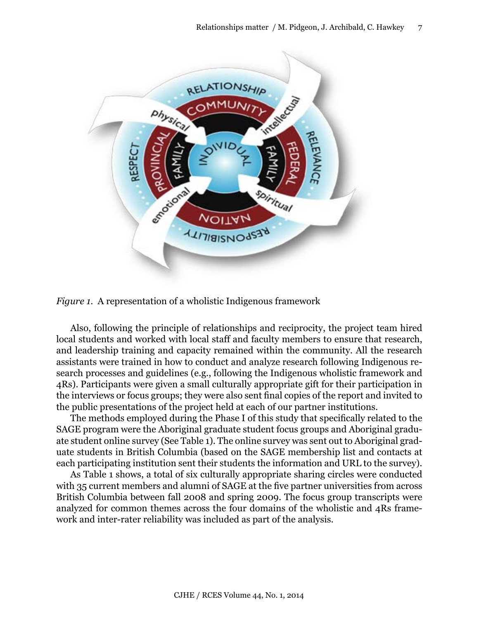

*Figure 1*. A representation of a wholistic Indigenous framework

Also, following the principle of relationships and reciprocity, the project team hired local students and worked with local staff and faculty members to ensure that research, and leadership training and capacity remained within the community. All the research assistants were trained in how to conduct and analyze research following Indigenous research processes and guidelines (e.g., following the Indigenous wholistic framework and 4Rs). Participants were given a small culturally appropriate gift for their participation in the interviews or focus groups; they were also sent final copies of the report and invited to the public presentations of the project held at each of our partner institutions.

The methods employed during the Phase I of this study that specifically related to the SAGE program were the Aboriginal graduate student focus groups and Aboriginal graduate student online survey (See Table 1). The online survey was sent out to Aboriginal graduate students in British Columbia (based on the SAGE membership list and contacts at each participating institution sent their students the information and URL to the survey).

As Table 1 shows, a total of six culturally appropriate sharing circles were conducted with 35 current members and alumni of SAGE at the five partner universities from across British Columbia between fall 2008 and spring 2009. The focus group transcripts were analyzed for common themes across the four domains of the wholistic and 4Rs framework and inter-rater reliability was included as part of the analysis.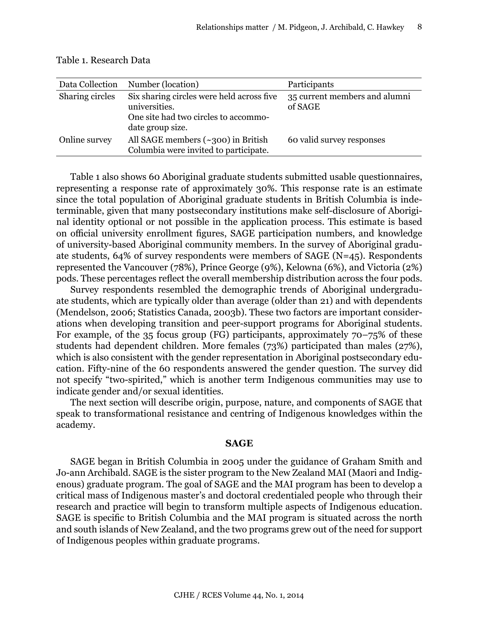| Data Collection | Number (location)                                                                                                      | Participants                             |
|-----------------|------------------------------------------------------------------------------------------------------------------------|------------------------------------------|
| Sharing circles | Six sharing circles were held across five<br>universities.<br>One site had two circles to accommo-<br>date group size. | 35 current members and alumni<br>of SAGE |
| Online survey   | All SAGE members $(\sim 300)$ in British<br>Columbia were invited to participate.                                      | 60 valid survey responses                |

|  | Table 1. Research Data |  |
|--|------------------------|--|
|  |                        |  |

Table 1 also shows 60 Aboriginal graduate students submitted usable questionnaires, representing a response rate of approximately 30%. This response rate is an estimate since the total population of Aboriginal graduate students in British Columbia is indeterminable, given that many postsecondary institutions make self-disclosure of Aboriginal identity optional or not possible in the application process. This estimate is based on official university enrollment figures, SAGE participation numbers, and knowledge of university-based Aboriginal community members. In the survey of Aboriginal graduate students, 64% of survey respondents were members of SAGE (N=45). Respondents represented the Vancouver (78%), Prince George (9%), Kelowna (6%), and Victoria (2%) pods. These percentages reflect the overall membership distribution across the four pods.

Survey respondents resembled the demographic trends of Aboriginal undergraduate students, which are typically older than average (older than 21) and with dependents (Mendelson, 2006; Statistics Canada, 2003b). These two factors are important considerations when developing transition and peer-support programs for Aboriginal students. For example, of the 35 focus group (FG) participants, approximately 70–75% of these students had dependent children. More females (73%) participated than males (27%), which is also consistent with the gender representation in Aboriginal postsecondary education. Fifty-nine of the 60 respondents answered the gender question. The survey did not specify "two-spirited," which is another term Indigenous communities may use to indicate gender and/or sexual identities.

The next section will describe origin, purpose, nature, and components of SAGE that speak to transformational resistance and centring of Indigenous knowledges within the academy.

#### **SAGE**

SAGE began in British Columbia in 2005 under the guidance of Graham Smith and Jo-ann Archibald. SAGE is the sister program to the New Zealand MAI (Maori and Indigenous) graduate program. The goal of SAGE and the MAI program has been to develop a critical mass of Indigenous master's and doctoral credentialed people who through their research and practice will begin to transform multiple aspects of Indigenous education. SAGE is specific to British Columbia and the MAI program is situated across the north and south islands of New Zealand, and the two programs grew out of the need for support of Indigenous peoples within graduate programs.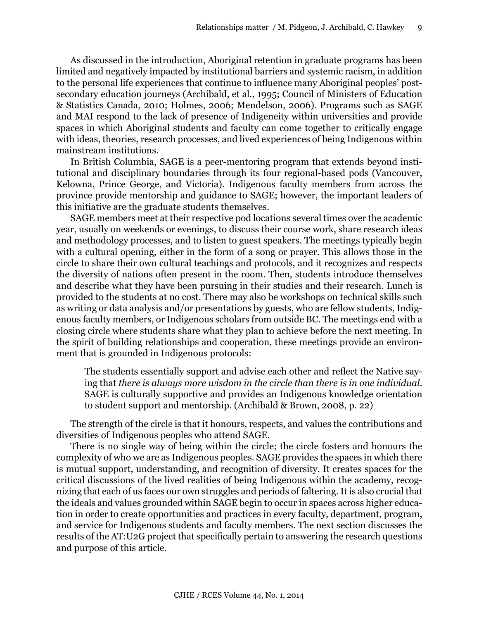As discussed in the introduction, Aboriginal retention in graduate programs has been limited and negatively impacted by institutional barriers and systemic racism, in addition to the personal life experiences that continue to influence many Aboriginal peoples' postsecondary education journeys (Archibald, et al., 1995; Council of Ministers of Education & Statistics Canada, 2010; Holmes, 2006; Mendelson, 2006). Programs such as SAGE and MAI respond to the lack of presence of Indigeneity within universities and provide spaces in which Aboriginal students and faculty can come together to critically engage with ideas, theories, research processes, and lived experiences of being Indigenous within mainstream institutions.

In British Columbia, SAGE is a peer-mentoring program that extends beyond institutional and disciplinary boundaries through its four regional-based pods (Vancouver, Kelowna, Prince George, and Victoria). Indigenous faculty members from across the province provide mentorship and guidance to SAGE; however, the important leaders of this initiative are the graduate students themselves.

SAGE members meet at their respective pod locations several times over the academic year, usually on weekends or evenings, to discuss their course work, share research ideas and methodology processes, and to listen to guest speakers. The meetings typically begin with a cultural opening, either in the form of a song or prayer. This allows those in the circle to share their own cultural teachings and protocols, and it recognizes and respects the diversity of nations often present in the room. Then, students introduce themselves and describe what they have been pursuing in their studies and their research. Lunch is provided to the students at no cost. There may also be workshops on technical skills such as writing or data analysis and/or presentations by guests, who are fellow students, Indigenous faculty members, or Indigenous scholars from outside BC. The meetings end with a closing circle where students share what they plan to achieve before the next meeting. In the spirit of building relationships and cooperation, these meetings provide an environment that is grounded in Indigenous protocols:

The students essentially support and advise each other and reflect the Native saying that *there is always more wisdom in the circle than there is in one individual*. SAGE is culturally supportive and provides an Indigenous knowledge orientation to student support and mentorship. (Archibald & Brown, 2008, p. 22)

The strength of the circle is that it honours, respects, and values the contributions and diversities of Indigenous peoples who attend SAGE.

There is no single way of being within the circle; the circle fosters and honours the complexity of who we are as Indigenous peoples. SAGE provides the spaces in which there is mutual support, understanding, and recognition of diversity. It creates spaces for the critical discussions of the lived realities of being Indigenous within the academy, recognizing that each of us faces our own struggles and periods of faltering. It is also crucial that the ideals and values grounded within SAGE begin to occur in spaces across higher education in order to create opportunities and practices in every faculty, department, program, and service for Indigenous students and faculty members. The next section discusses the results of the AT:U2G project that specifically pertain to answering the research questions and purpose of this article.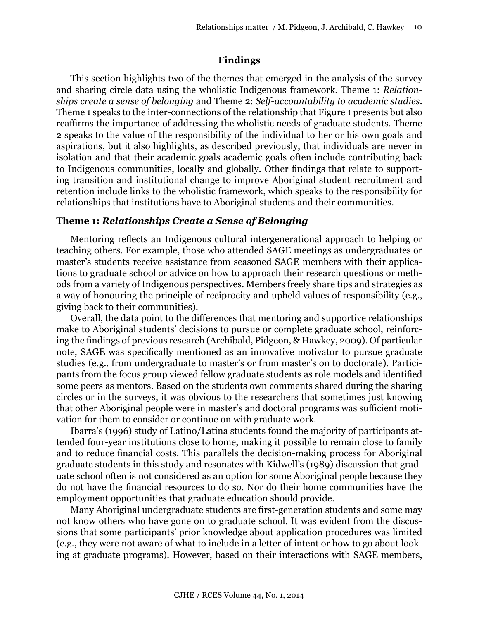## **Findings**

This section highlights two of the themes that emerged in the analysis of the survey and sharing circle data using the wholistic Indigenous framework. Theme 1: *Relationships create a sense of belonging* and Theme 2: *Self-accountability to academic studies*. Theme 1 speaks to the inter-connections of the relationship that Figure 1 presents but also reaffirms the importance of addressing the wholistic needs of graduate students. Theme 2 speaks to the value of the responsibility of the individual to her or his own goals and aspirations, but it also highlights, as described previously, that individuals are never in isolation and that their academic goals academic goals often include contributing back to Indigenous communities, locally and globally. Other findings that relate to supporting transition and institutional change to improve Aboriginal student recruitment and retention include links to the wholistic framework, which speaks to the responsibility for relationships that institutions have to Aboriginal students and their communities.

## **Theme 1:** *Relationships Create a Sense of Belonging*

Mentoring reflects an Indigenous cultural intergenerational approach to helping or teaching others. For example, those who attended SAGE meetings as undergraduates or master's students receive assistance from seasoned SAGE members with their applications to graduate school or advice on how to approach their research questions or methods from a variety of Indigenous perspectives. Members freely share tips and strategies as a way of honouring the principle of reciprocity and upheld values of responsibility (e.g., giving back to their communities).

Overall, the data point to the differences that mentoring and supportive relationships make to Aboriginal students' decisions to pursue or complete graduate school, reinforcing the findings of previous research (Archibald, Pidgeon, & Hawkey, 2009). Of particular note, SAGE was specifically mentioned as an innovative motivator to pursue graduate studies (e.g., from undergraduate to master's or from master's on to doctorate). Participants from the focus group viewed fellow graduate students as role models and identified some peers as mentors. Based on the students own comments shared during the sharing circles or in the surveys, it was obvious to the researchers that sometimes just knowing that other Aboriginal people were in master's and doctoral programs was sufficient motivation for them to consider or continue on with graduate work.

Ibarra's (1996) study of Latino/Latina students found the majority of participants attended four-year institutions close to home, making it possible to remain close to family and to reduce financial costs. This parallels the decision-making process for Aboriginal graduate students in this study and resonates with Kidwell's (1989) discussion that graduate school often is not considered as an option for some Aboriginal people because they do not have the financial resources to do so. Nor do their home communities have the employment opportunities that graduate education should provide.

Many Aboriginal undergraduate students are first-generation students and some may not know others who have gone on to graduate school. It was evident from the discussions that some participants' prior knowledge about application procedures was limited (e.g., they were not aware of what to include in a letter of intent or how to go about looking at graduate programs). However, based on their interactions with SAGE members,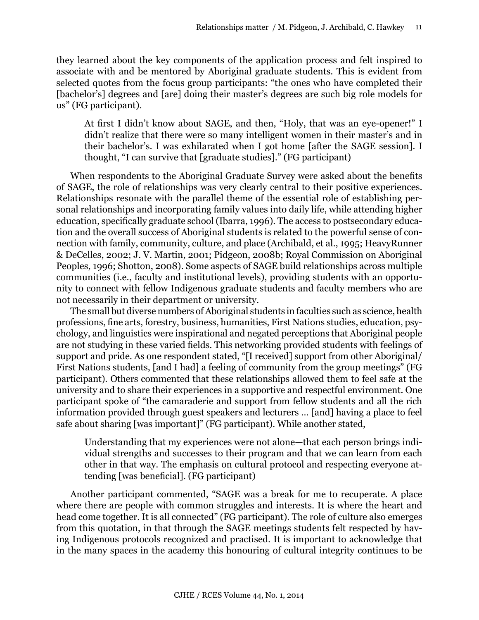they learned about the key components of the application process and felt inspired to associate with and be mentored by Aboriginal graduate students. This is evident from selected quotes from the focus group participants: "the ones who have completed their [bachelor's] degrees and [are] doing their master's degrees are such big role models for us" (FG participant).

At first I didn't know about SAGE, and then, "Holy, that was an eye-opener!" I didn't realize that there were so many intelligent women in their master's and in their bachelor's. I was exhilarated when I got home [after the SAGE session]. I thought, "I can survive that [graduate studies]." (FG participant)

When respondents to the Aboriginal Graduate Survey were asked about the benefits of SAGE, the role of relationships was very clearly central to their positive experiences. Relationships resonate with the parallel theme of the essential role of establishing personal relationships and incorporating family values into daily life, while attending higher education, specifically graduate school (Ibarra, 1996). The access to postsecondary education and the overall success of Aboriginal students is related to the powerful sense of connection with family, community, culture, and place (Archibald, et al., 1995; HeavyRunner & DeCelles, 2002; J. V. Martin, 2001; Pidgeon, 2008b; Royal Commission on Aboriginal Peoples, 1996; Shotton, 2008). Some aspects of SAGE build relationships across multiple communities (i.e., faculty and institutional levels), providing students with an opportunity to connect with fellow Indigenous graduate students and faculty members who are not necessarily in their department or university.

The small but diverse numbers of Aboriginal students in faculties such as science, health professions, fine arts, forestry, business, humanities, First Nations studies, education, psychology, and linguistics were inspirational and negated perceptions that Aboriginal people are not studying in these varied fields. This networking provided students with feelings of support and pride. As one respondent stated, "[I received] support from other Aboriginal/ First Nations students, [and I had] a feeling of community from the group meetings" (FG participant). Others commented that these relationships allowed them to feel safe at the university and to share their experiences in a supportive and respectful environment. One participant spoke of "the camaraderie and support from fellow students and all the rich information provided through guest speakers and lecturers … [and] having a place to feel safe about sharing [was important]" (FG participant). While another stated,

Understanding that my experiences were not alone—that each person brings individual strengths and successes to their program and that we can learn from each other in that way. The emphasis on cultural protocol and respecting everyone attending [was beneficial]. (FG participant)

Another participant commented, "SAGE was a break for me to recuperate. A place where there are people with common struggles and interests. It is where the heart and head come together. It is all connected" (FG participant). The role of culture also emerges from this quotation, in that through the SAGE meetings students felt respected by having Indigenous protocols recognized and practised. It is important to acknowledge that in the many spaces in the academy this honouring of cultural integrity continues to be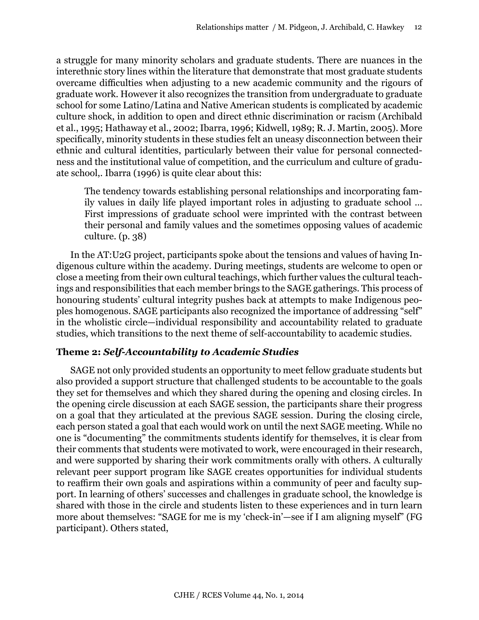a struggle for many minority scholars and graduate students. There are nuances in the interethnic story lines within the literature that demonstrate that most graduate students overcame difficulties when adjusting to a new academic community and the rigours of graduate work. However it also recognizes the transition from undergraduate to graduate school for some Latino/Latina and Native American students is complicated by academic culture shock, in addition to open and direct ethnic discrimination or racism (Archibald et al., 1995; Hathaway et al., 2002; Ibarra, 1996; Kidwell, 1989; R. J. Martin, 2005). More specifically, minority students in these studies felt an uneasy disconnection between their ethnic and cultural identities, particularly between their value for personal connectedness and the institutional value of competition, and the curriculum and culture of graduate school,. Ibarra (1996) is quite clear about this:

The tendency towards establishing personal relationships and incorporating family values in daily life played important roles in adjusting to graduate school … First impressions of graduate school were imprinted with the contrast between their personal and family values and the sometimes opposing values of academic culture. (p. 38)

In the AT:U2G project, participants spoke about the tensions and values of having Indigenous culture within the academy. During meetings, students are welcome to open or close a meeting from their own cultural teachings, which further values the cultural teachings and responsibilities that each member brings to the SAGE gatherings. This process of honouring students' cultural integrity pushes back at attempts to make Indigenous peoples homogenous. SAGE participants also recognized the importance of addressing "self" in the wholistic circle—individual responsibility and accountability related to graduate studies, which transitions to the next theme of self-accountability to academic studies.

# **Theme 2:** *Self-Accountability to Academic Studies*

SAGE not only provided students an opportunity to meet fellow graduate students but also provided a support structure that challenged students to be accountable to the goals they set for themselves and which they shared during the opening and closing circles. In the opening circle discussion at each SAGE session, the participants share their progress on a goal that they articulated at the previous SAGE session. During the closing circle, each person stated a goal that each would work on until the next SAGE meeting. While no one is "documenting" the commitments students identify for themselves, it is clear from their comments that students were motivated to work, were encouraged in their research, and were supported by sharing their work commitments orally with others. A culturally relevant peer support program like SAGE creates opportunities for individual students to reaffirm their own goals and aspirations within a community of peer and faculty support. In learning of others' successes and challenges in graduate school, the knowledge is shared with those in the circle and students listen to these experiences and in turn learn more about themselves: "SAGE for me is my 'check-in'—see if I am aligning myself" (FG participant). Others stated,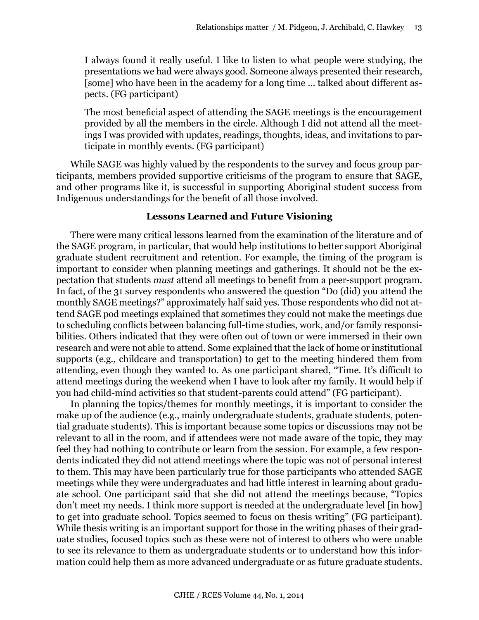I always found it really useful. I like to listen to what people were studying, the presentations we had were always good. Someone always presented their research, [some] who have been in the academy for a long time … talked about different aspects. (FG participant)

The most beneficial aspect of attending the SAGE meetings is the encouragement provided by all the members in the circle. Although I did not attend all the meetings I was provided with updates, readings, thoughts, ideas, and invitations to participate in monthly events. (FG participant)

While SAGE was highly valued by the respondents to the survey and focus group participants, members provided supportive criticisms of the program to ensure that SAGE, and other programs like it, is successful in supporting Aboriginal student success from Indigenous understandings for the benefit of all those involved.

#### **Lessons Learned and Future Visioning**

There were many critical lessons learned from the examination of the literature and of the SAGE program, in particular, that would help institutions to better support Aboriginal graduate student recruitment and retention. For example, the timing of the program is important to consider when planning meetings and gatherings. It should not be the expectation that students *must* attend all meetings to benefit from a peer-support program. In fact, of the 31 survey respondents who answered the question "Do (did) you attend the monthly SAGE meetings?" approximately half said yes. Those respondents who did not attend SAGE pod meetings explained that sometimes they could not make the meetings due to scheduling conflicts between balancing full-time studies, work, and/or family responsibilities. Others indicated that they were often out of town or were immersed in their own research and were not able to attend. Some explained that the lack of home or institutional supports (e.g., childcare and transportation) to get to the meeting hindered them from attending, even though they wanted to. As one participant shared, "Time. It's difficult to attend meetings during the weekend when I have to look after my family. It would help if you had child-mind activities so that student-parents could attend" (FG participant).

In planning the topics/themes for monthly meetings, it is important to consider the make up of the audience (e.g., mainly undergraduate students, graduate students, potential graduate students). This is important because some topics or discussions may not be relevant to all in the room, and if attendees were not made aware of the topic, they may feel they had nothing to contribute or learn from the session. For example, a few respondents indicated they did not attend meetings where the topic was not of personal interest to them. This may have been particularly true for those participants who attended SAGE meetings while they were undergraduates and had little interest in learning about graduate school. One participant said that she did not attend the meetings because, "Topics don't meet my needs. I think more support is needed at the undergraduate level [in how] to get into graduate school. Topics seemed to focus on thesis writing" (FG participant). While thesis writing is an important support for those in the writing phases of their graduate studies, focused topics such as these were not of interest to others who were unable to see its relevance to them as undergraduate students or to understand how this information could help them as more advanced undergraduate or as future graduate students.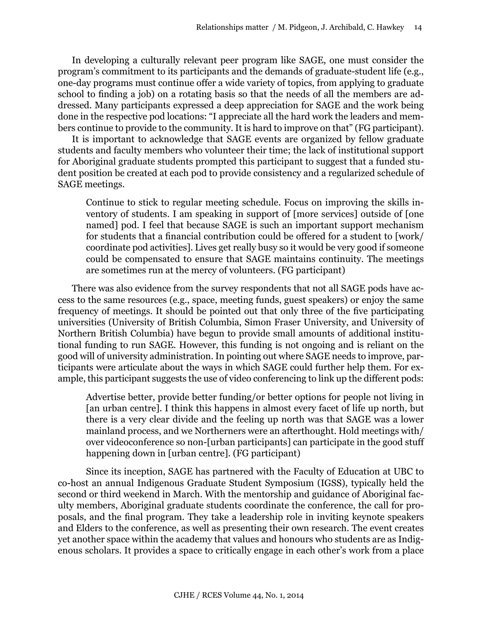In developing a culturally relevant peer program like SAGE, one must consider the program's commitment to its participants and the demands of graduate-student life (e.g., one-day programs must continue offer a wide variety of topics, from applying to graduate school to finding a job) on a rotating basis so that the needs of all the members are addressed. Many participants expressed a deep appreciation for SAGE and the work being done in the respective pod locations: "I appreciate all the hard work the leaders and members continue to provide to the community. It is hard to improve on that" (FG participant).

It is important to acknowledge that SAGE events are organized by fellow graduate students and faculty members who volunteer their time; the lack of institutional support for Aboriginal graduate students prompted this participant to suggest that a funded student position be created at each pod to provide consistency and a regularized schedule of SAGE meetings.

Continue to stick to regular meeting schedule. Focus on improving the skills inventory of students. I am speaking in support of [more services] outside of [one named] pod. I feel that because SAGE is such an important support mechanism for students that a financial contribution could be offered for a student to [work/ coordinate pod activities]. Lives get really busy so it would be very good if someone could be compensated to ensure that SAGE maintains continuity. The meetings are sometimes run at the mercy of volunteers. (FG participant)

There was also evidence from the survey respondents that not all SAGE pods have access to the same resources (e.g., space, meeting funds, guest speakers) or enjoy the same frequency of meetings. It should be pointed out that only three of the five participating universities (University of British Columbia, Simon Fraser University, and University of Northern British Columbia) have begun to provide small amounts of additional institutional funding to run SAGE. However, this funding is not ongoing and is reliant on the good will of university administration. In pointing out where SAGE needs to improve, participants were articulate about the ways in which SAGE could further help them. For example, this participant suggests the use of video conferencing to link up the different pods:

Advertise better, provide better funding/or better options for people not living in [an urban centre]. I think this happens in almost every facet of life up north, but there is a very clear divide and the feeling up north was that SAGE was a lower mainland process, and we Northerners were an afterthought. Hold meetings with/ over videoconference so non-[urban participants] can participate in the good stuff happening down in [urban centre]. (FG participant)

Since its inception, SAGE has partnered with the Faculty of Education at UBC to co-host an annual Indigenous Graduate Student Symposium (IGSS), typically held the second or third weekend in March. With the mentorship and guidance of Aboriginal faculty members, Aboriginal graduate students coordinate the conference, the call for proposals, and the final program. They take a leadership role in inviting keynote speakers and Elders to the conference, as well as presenting their own research. The event creates yet another space within the academy that values and honours who students are as Indigenous scholars. It provides a space to critically engage in each other's work from a place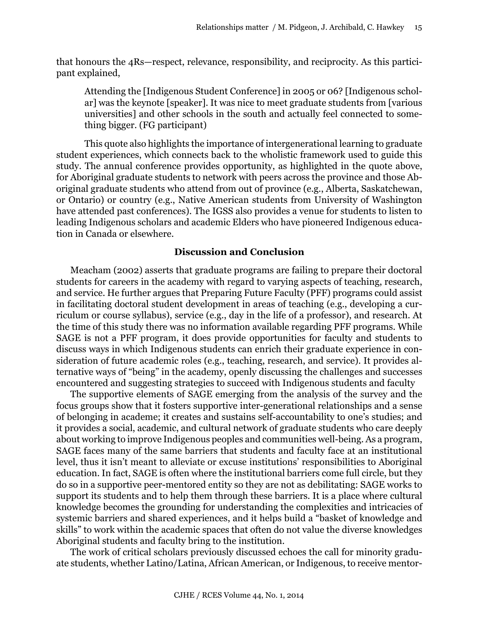that honours the 4Rs—respect, relevance, responsibility, and reciprocity. As this participant explained,

Attending the [Indigenous Student Conference] in 2005 or 06? [Indigenous scholar] was the keynote [speaker]. It was nice to meet graduate students from [various universities] and other schools in the south and actually feel connected to something bigger. (FG participant)

This quote also highlights the importance of intergenerational learning to graduate student experiences, which connects back to the wholistic framework used to guide this study. The annual conference provides opportunity, as highlighted in the quote above, for Aboriginal graduate students to network with peers across the province and those Aboriginal graduate students who attend from out of province (e.g., Alberta, Saskatchewan, or Ontario) or country (e.g., Native American students from University of Washington have attended past conferences). The IGSS also provides a venue for students to listen to leading Indigenous scholars and academic Elders who have pioneered Indigenous education in Canada or elsewhere.

# **Discussion and Conclusion**

Meacham (2002) asserts that graduate programs are failing to prepare their doctoral students for careers in the academy with regard to varying aspects of teaching, research, and service. He further argues that Preparing Future Faculty (PFF) programs could assist in facilitating doctoral student development in areas of teaching (e.g., developing a curriculum or course syllabus), service (e.g., day in the life of a professor), and research. At the time of this study there was no information available regarding PFF programs. While SAGE is not a PFF program, it does provide opportunities for faculty and students to discuss ways in which Indigenous students can enrich their graduate experience in consideration of future academic roles (e.g., teaching, research, and service). It provides alternative ways of "being" in the academy, openly discussing the challenges and successes encountered and suggesting strategies to succeed with Indigenous students and faculty

The supportive elements of SAGE emerging from the analysis of the survey and the focus groups show that it fosters supportive inter-generational relationships and a sense of belonging in academe; it creates and sustains self-accountability to one's studies; and it provides a social, academic, and cultural network of graduate students who care deeply about working to improve Indigenous peoples and communities well-being. As a program, SAGE faces many of the same barriers that students and faculty face at an institutional level, thus it isn't meant to alleviate or excuse institutions' responsibilities to Aboriginal education. In fact, SAGE is often where the institutional barriers come full circle, but they do so in a supportive peer-mentored entity so they are not as debilitating: SAGE works to support its students and to help them through these barriers. It is a place where cultural knowledge becomes the grounding for understanding the complexities and intricacies of systemic barriers and shared experiences, and it helps build a "basket of knowledge and skills" to work within the academic spaces that often do not value the diverse knowledges Aboriginal students and faculty bring to the institution.

The work of critical scholars previously discussed echoes the call for minority graduate students, whether Latino/Latina, African American, or Indigenous, to receive mentor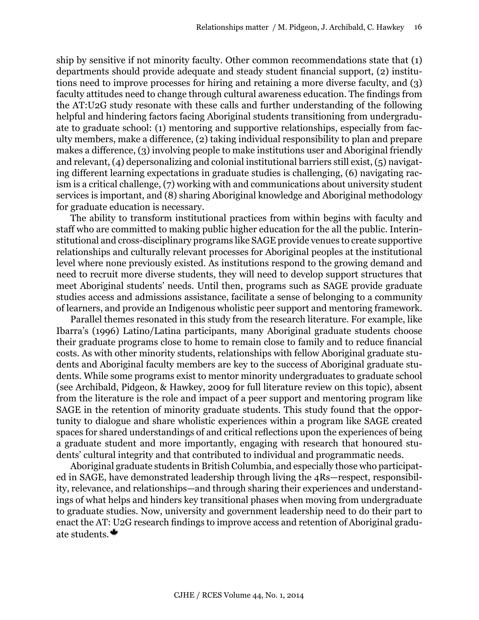ship by sensitive if not minority faculty. Other common recommendations state that (1) departments should provide adequate and steady student financial support, (2) institutions need to improve processes for hiring and retaining a more diverse faculty, and (3) faculty attitudes need to change through cultural awareness education. The findings from the AT:U2G study resonate with these calls and further understanding of the following helpful and hindering factors facing Aboriginal students transitioning from undergraduate to graduate school: (1) mentoring and supportive relationships, especially from faculty members, make a difference, (2) taking individual responsibility to plan and prepare makes a difference, (3) involving people to make institutions user and Aboriginal friendly and relevant, (4) depersonalizing and colonial institutional barriers still exist, (5) navigating different learning expectations in graduate studies is challenging, (6) navigating racism is a critical challenge, (7) working with and communications about university student services is important, and (8) sharing Aboriginal knowledge and Aboriginal methodology for graduate education is necessary.

The ability to transform institutional practices from within begins with faculty and staff who are committed to making public higher education for the all the public. Interinstitutional and cross-disciplinary programs like SAGE provide venues to create supportive relationships and culturally relevant processes for Aboriginal peoples at the institutional level where none previously existed. As institutions respond to the growing demand and need to recruit more diverse students, they will need to develop support structures that meet Aboriginal students' needs. Until then, programs such as SAGE provide graduate studies access and admissions assistance, facilitate a sense of belonging to a community of learners, and provide an Indigenous wholistic peer support and mentoring framework.

Parallel themes resonated in this study from the research literature. For example, like Ibarra's (1996) Latino/Latina participants, many Aboriginal graduate students choose their graduate programs close to home to remain close to family and to reduce financial costs. As with other minority students, relationships with fellow Aboriginal graduate students and Aboriginal faculty members are key to the success of Aboriginal graduate students. While some programs exist to mentor minority undergraduates to graduate school (see Archibald, Pidgeon, & Hawkey, 2009 for full literature review on this topic), absent from the literature is the role and impact of a peer support and mentoring program like SAGE in the retention of minority graduate students. This study found that the opportunity to dialogue and share wholistic experiences within a program like SAGE created spaces for shared understandings of and critical reflections upon the experiences of being a graduate student and more importantly, engaging with research that honoured students' cultural integrity and that contributed to individual and programmatic needs.

Aboriginal graduate students in British Columbia, and especially those who participated in SAGE, have demonstrated leadership through living the 4Rs—respect, responsibility, relevance, and relationships—and through sharing their experiences and understandings of what helps and hinders key transitional phases when moving from undergraduate to graduate studies. Now, university and government leadership need to do their part to enact the AT: U2G research findings to improve access and retention of Aboriginal graduate students.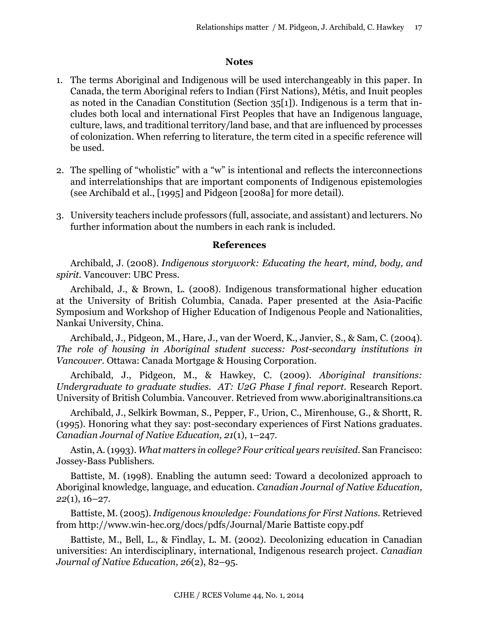## **Notes**

- 1. The terms Aboriginal and Indigenous will be used interchangeably in this paper. In Canada, the term Aboriginal refers to Indian (First Nations), Métis, and Inuit peoples as noted in the Canadian Constitution (Section 35[1]). Indigenous is a term that includes both local and international First Peoples that have an Indigenous language, culture, laws, and traditional territory/land base, and that are influenced by processes of colonization. When referring to literature, the term cited in a specific reference will be used.
- 2. The spelling of "wholistic" with a "w" is intentional and reflects the interconnections and interrelationships that are important components of Indigenous epistemologies (see Archibald et al., [1995] and Pidgeon [2008a] for more detail).
- 3. University teachers include professors (full, associate, and assistant) and lecturers. No further information about the numbers in each rank is included.

## **References**

Archibald, J. (2008). *Indigenous storywork: Educating the heart, mind, body, and spirit.* Vancouver: UBC Press.

Archibald, J., & Brown, L. (2008). Indigenous transformational higher education at the University of British Columbia, Canada. Paper presented at the Asia-Pacific Symposium and Workshop of Higher Education of Indigenous People and Nationalities, Nankai University, China.

Archibald, J., Pidgeon, M., Hare, J., van der Woerd, K., Janvier, S., & Sam, C. (2004). *The role of housing in Aboriginal student success: Post-secondary institutions in Vancouver*. Ottawa: Canada Mortgage & Housing Corporation.

Archibald, J., Pidgeon, M., & Hawkey, C. (2009). *Aboriginal transitions: Undergraduate to graduate studies. AT: U2G Phase I final report.* Research Report. University of British Columbia. Vancouver. Retrieved from www.aboriginaltransitions.ca

Archibald, J., Selkirk Bowman, S., Pepper, F., Urion, C., Mirenhouse, G., & Shortt, R. (1995). Honoring what they say: post-secondary experiences of First Nations graduates. *Canadian Journal of Native Education, 21*(1), 1–247.

Astin, A. (1993). *What matters in college? Four critical years revisited*. San Francisco: Jossey-Bass Publishers.

Battiste, M. (1998). Enabling the autumn seed: Toward a decolonized approach to Aboriginal knowledge, language, and education. *Canadian Journal of Native Education, 22*(1), 16–27.

Battiste, M. (2005). *Indigenous knowledge: Foundations for First Nations.* Retrieved from [http://www.win-hec.org/docs/pdfs/Journal/Marie Battiste copy.pdf](http://www.win-hec.org/docs/pdfs/Journal/Marie%20Battiste%20copy.pdf) 

Battiste, M., Bell, L., & Findlay, L. M. (2002). Decolonizing education in Canadian universities: An interdisciplinary, international, Indigenous research project. *Canadian Journal of Native Education, 26*(2), 82–95.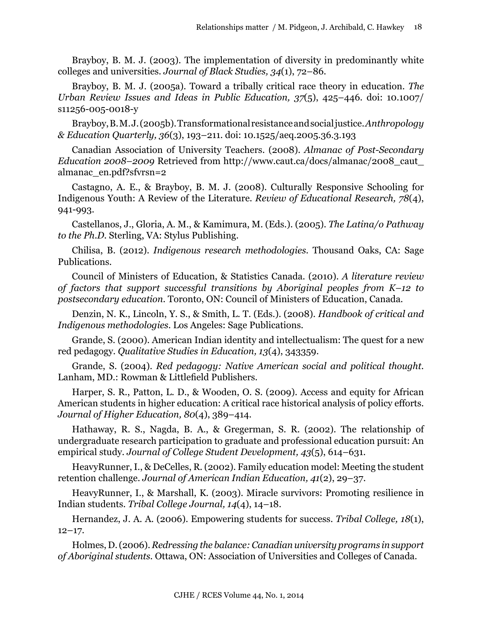Brayboy, B. M. J. (2003). The implementation of diversity in predominantly white colleges and universities. *Journal of Black Studies, 34*(1), 72–86.

Brayboy, B. M. J. (2005a). Toward a tribally critical race theory in education. *The Urban Review Issues and Ideas in Public Education, 37*(5), 425–446. doi: 10.1007/ s11256-005-0018-y

Brayboy, B. M. J. (2005b). Transformational resistance and social justice. *Anthropology & Education Quarterly, 36*(3), 193–211. doi: 10.1525/aeq.2005.36.3.193

Canadian Association of University Teachers. (2008). *Almanac of Post-Secondary Education 2008–2009* Retrieved from [http://www.caut.ca/docs/almanac/2008\\_caut\\_](http://www.caut.ca/docs/almanac/2008_caut_almanac_en.pdf?sfvrsn=2) [almanac\\_en.pdf?sfvrsn=2](http://www.caut.ca/docs/almanac/2008_caut_almanac_en.pdf?sfvrsn=2)

Castagno, A. E., & Brayboy, B. M. J. (2008). Culturally Responsive Schooling for Indigenous Youth: A Review of the Literature. *Review of Educational Research, 78*(4), 941-993.

Castellanos, J., Gloria, A. M., & Kamimura, M. (Eds.). (2005). *The Latina/o Pathway to the Ph.D.* Sterling, VA: Stylus Publishing.

Chilisa, B. (2012). *Indigenous research methodologies.* Thousand Oaks, CA: Sage Publications.

Council of Ministers of Education, & Statistics Canada. (2010). *A literature review of factors that support successful transitions by Aboriginal peoples from K–12 to postsecondary education.* Toronto, ON: Council of Ministers of Education, Canada.

Denzin, N. K., Lincoln, Y. S., & Smith, L. T. (Eds.). (2008). *Handbook of critical and Indigenous methodologies.* Los Angeles: Sage Publications.

Grande, S. (2000). American Indian identity and intellectualism: The quest for a new red pedagogy. *Qualitative Studies in Education, 13*(4), 343359.

Grande, S. (2004). *Red pedagogy: Native American social and political thought.*  Lanham, MD.: Rowman & Littlefield Publishers.

Harper, S. R., Patton, L. D., & Wooden, O. S. (2009). Access and equity for African American students in higher education: A critical race historical analysis of policy efforts. *Journal of Higher Education, 80*(4), 389–414.

Hathaway, R. S., Nagda, B. A., & Gregerman, S. R. (2002). The relationship of undergraduate research participation to graduate and professional education pursuit: An empirical study. *Journal of College Student Development, 43*(5), 614–631.

HeavyRunner, I., & DeCelles, R. (2002). Family education model: Meeting the student retention challenge. *Journal of American Indian Education, 41*(2), 29–37.

HeavyRunner, I., & Marshall, K. (2003). Miracle survivors: Promoting resilience in Indian students. *Tribal College Journal, 14*(4), 14–18.

Hernandez, J. A. A. (2006). Empowering students for success. *Tribal College, 18*(1),  $12-17.$ 

Holmes, D. (2006). *Redressing the balance: Canadian university programs in support of Aboriginal students.* Ottawa, ON: Association of Universities and Colleges of Canada.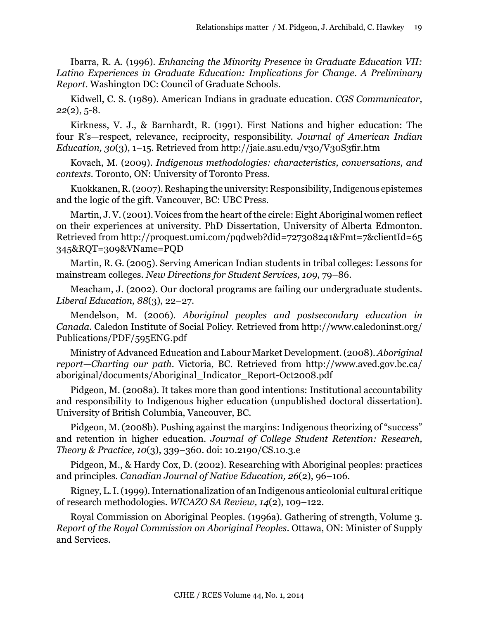Ibarra, R. A. (1996). *Enhancing the Minority Presence in Graduate Education VII: Latino Experiences in Graduate Education: Implications for Change. A Preliminary Report.* Washington DC: Council of Graduate Schools.

Kidwell, C. S. (1989). American Indians in graduate education. *CGS Communicator, 22*(2), 5-8.

Kirkness, V. J., & Barnhardt, R. (1991). First Nations and higher education: The four R's—respect, relevance, reciprocity, responsibility. *Journal of American Indian Education, 30*(3), 1–15. Retrieved from http://jaie.asu.edu/v30/V30S3fir.htm

Kovach, M. (2009). *Indigenous methodologies: characteristics, conversations, and contexts.* Toronto, ON: University of Toronto Press.

Kuokkanen, R. (2007). Reshaping the university: Responsibility, Indigenous epistemes and the logic of the gift. Vancouver, BC: UBC Press.

Martin, J. V. (2001). Voices from the heart of the circle: Eight Aboriginal women reflect on their experiences at university. PhD Dissertation, University of Alberta Edmonton. Retrieved from [http://proquest.umi.com/pqdweb?did=727308241&Fmt=7&clientId=65](http://proquest.umi.com/pqdweb?did=727308241&Fmt=7&clientId=65345&RQT=309&VName=PQD) [345&RQT=309&VName=PQD](http://proquest.umi.com/pqdweb?did=727308241&Fmt=7&clientId=65345&RQT=309&VName=PQD) 

Martin, R. G. (2005). Serving American Indian students in tribal colleges: Lessons for mainstream colleges. *New Directions for Student Services, 109*, 79–86.

Meacham, J. (2002). Our doctoral programs are failing our undergraduate students. *Liberal Education, 88*(3), 22–27.

Mendelson, M. (2006). *Aboriginal peoples and postsecondary education in Canada.* Caledon Institute of Social Policy. Retrieved from http://www.caledoninst.org/ Publications/PDF/595ENG.pdf

Ministry of Advanced Education and Labour Market Development. (2008). *Aboriginal report—Charting our path.* Victoria, BC. Retrieved from [http://www.aved.gov.bc.ca/](http://www.aved.gov.bc.ca/aboriginal/documents/Aboriginal_Indicator_Report-Oct2008.pdf) [aboriginal/documents/Aboriginal\\_Indicator\\_Report-Oct2008.pdf](http://www.aved.gov.bc.ca/aboriginal/documents/Aboriginal_Indicator_Report-Oct2008.pdf)

Pidgeon, M. (2008a). It takes more than good intentions: Institutional accountability and responsibility to Indigenous higher education (unpublished doctoral dissertation). University of British Columbia, Vancouver, BC.

Pidgeon, M. (2008b). Pushing against the margins: Indigenous theorizing of "success" and retention in higher education. *Journal of College Student Retention: Research, Theory & Practice, 10*(3), 339–360. doi: 10.2190/CS.10.3.e

Pidgeon, M., & Hardy Cox, D. (2002). Researching with Aboriginal peoples: practices and principles. *Canadian Journal of Native Education, 26*(2), 96–106.

Rigney, L. I. (1999). Internationalization of an Indigenous anticolonial cultural critique of research methodologies. *WICAZO SA Review, 14*(2), 109–122.

Royal Commission on Aboriginal Peoples. (1996a). Gathering of strength, Volume 3. *Report of the Royal Commission on Aboriginal Peoples*. Ottawa, ON: Minister of Supply and Services.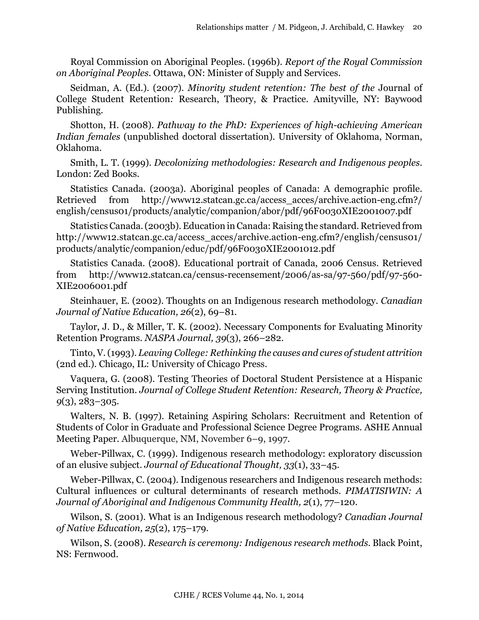Royal Commission on Aboriginal Peoples. (1996b). *Report of the Royal Commission on Aboriginal Peoples*. Ottawa, ON: Minister of Supply and Services.

Seidman, A. (Ed.). (2007). *Minority student retention: The best of the* Journal of College Student Retention*:* Research, Theory, & Practice*.* Amityville, NY: Baywood Publishing.

Shotton, H. (2008). *Pathway to the PhD: Experiences of high-achieving American Indian females* (unpublished doctoral dissertation). University of Oklahoma, Norman, Oklahoma.

Smith, L. T. (1999). *Decolonizing methodologies: Research and Indigenous peoples*. London: Zed Books.

Statistics Canada. (2003a). Aboriginal peoples of Canada: A demographic profile. Retrieved from http://www12.statcan.gc.ca/access\_acces/archive.action-eng.cfm?/ english/census01/products/analytic/companion/abor/pdf/96F0030XIE2001007.pdf

Statistics Canada. (2003b). Education in Canada: Raising the standard. Retrieved from http://www12.statcan.gc.ca/access\_acces/archive.action-eng.cfm?/english/census01/ products/analytic/companion/educ/pdf/96F0030XIE2001012.pdf

Statistics Canada. (2008). Educational portrait of Canada, 2006 Census. Retrieved from http://www12.statcan.ca/census-recensement/2006/as-sa/97-560/pdf/97-560- XIE2006001.pdf

Steinhauer, E. (2002). Thoughts on an Indigenous research methodology. *Canadian Journal of Native Education, 26*(2), 69–81.

Taylor, J. D., & Miller, T. K. (2002). Necessary Components for Evaluating Minority Retention Programs. *NASPA Journal, 39*(3), 266–282.

Tinto, V. (1993). *Leaving College: Rethinking the causes and cures of student attrition*  (2nd ed.). Chicago, IL: University of Chicago Press.

Vaquera, G. (2008). Testing Theories of Doctoral Student Persistence at a Hispanic Serving Institution. *Journal of College Student Retention: Research, Theory & Practice, 9*(3), 283–305.

Walters, N. B. (1997). Retaining Aspiring Scholars: Recruitment and Retention of Students of Color in Graduate and Professional Science Degree Programs. ASHE Annual Meeting Paper. Albuquerque, NM, November 6–9, 1997.

Weber-Pillwax, C. (1999). Indigenous research methodology: exploratory discussion of an elusive subject. *Journal of Educational Thought, 33*(1), 33–45.

Weber-Pillwax, C. (2004). Indigenous researchers and Indigenous research methods: Cultural influences or cultural determinants of research methods. *PIMATISIWIN: A Journal of Aboriginal and Indigenous Community Health, 2*(1), 77–120.

Wilson, S. (2001). What is an Indigenous research methodology? *Canadian Journal of Native Education, 25*(2), 175–179.

Wilson, S. (2008). *Research is ceremony: Indigenous research methods*. Black Point, NS: Fernwood.